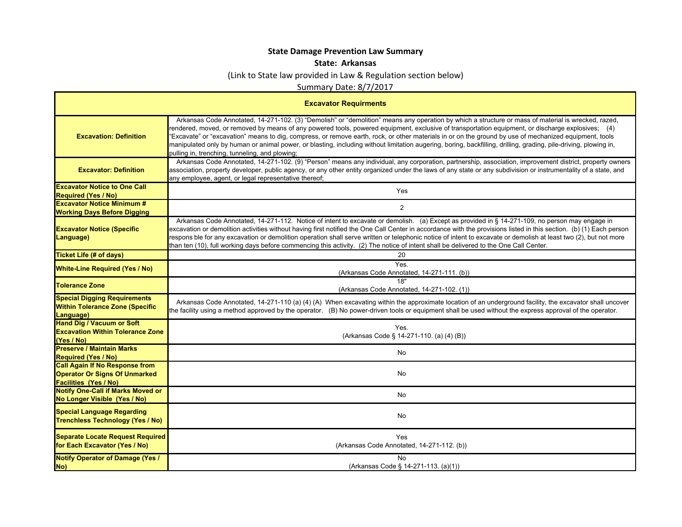## **State Damage Prevention Law Summary**

## **State: Arkansas**

(Link to State law provided in Law & Regulation section below)

Summary Date: 8/7/2017

| <b>Excavator Requirments</b>                                                                                  |                                                                                                                                                                                                                                                                                                                                                                                                                                                                                                                                                                                                                                                                                          |  |
|---------------------------------------------------------------------------------------------------------------|------------------------------------------------------------------------------------------------------------------------------------------------------------------------------------------------------------------------------------------------------------------------------------------------------------------------------------------------------------------------------------------------------------------------------------------------------------------------------------------------------------------------------------------------------------------------------------------------------------------------------------------------------------------------------------------|--|
| <b>Excavation: Definition</b>                                                                                 | Arkansas Code Annotated, 14-271-102. (3) "Demolish" or "demolition" means any operation by which a structure or mass of material is wrecked, razed,<br>rendered, moved, or removed by means of any powered tools, powered equipment, exclusive of transportation equipment, or discharge explosives; (4)<br>'Excavate" or "excavation" means to dig, compress, or remove earth, rock, or other materials in or on the ground by use of mechanized equipment, tools<br>manipulated only by human or animal power, or blasting, including without limitation augering, boring, backfilling, drilling, grading, pile-driving, plowing in,<br>pulling in, trenching, tunneling, and plowing; |  |
| <b>Excavator: Definition</b>                                                                                  | Arkansas Code Annotated, 14-271-102. (9) "Person" means any individual, any corporation, partnership, association, improvement district, property owners<br>association, property developer, public agency, or any other entity organized under the laws of any state or any subdivision or instrumentality of a state, and<br>any employee, agent, or legal representative thereof;                                                                                                                                                                                                                                                                                                     |  |
| <b>Excavator Notice to One Call</b>                                                                           | Yes                                                                                                                                                                                                                                                                                                                                                                                                                                                                                                                                                                                                                                                                                      |  |
| <b>Required (Yes / No)</b>                                                                                    |                                                                                                                                                                                                                                                                                                                                                                                                                                                                                                                                                                                                                                                                                          |  |
| <b>Excavator Notice Minimum #</b><br><b>Working Days Before Digging</b>                                       | $\overline{2}$                                                                                                                                                                                                                                                                                                                                                                                                                                                                                                                                                                                                                                                                           |  |
| <b>Excavator Notice (Specific</b><br>Language)                                                                | Arkansas Code Annotated, 14-271-112. Notice of intent to excavate or demolish. (a) Except as provided in § 14-271-109, no person may engage in<br>excavation or demolition activities without having first notified the One Call Center in accordance with the provisions listed in this section. (b) (1) Each person<br>respons ble for any excavation or demolition operation shall serve written or telephonic notice of intent to excavate or demolish at least two (2), but not more<br>than ten (10), full working days before commencing this activity. (2) The notice of intent shall be delivered to the One Call Center.                                                       |  |
| <b>Ticket Life (# of days)</b>                                                                                | 20                                                                                                                                                                                                                                                                                                                                                                                                                                                                                                                                                                                                                                                                                       |  |
| <b>White-Line Required (Yes / No)</b>                                                                         | Yes.<br>(Arkansas Code Annotated, 14-271-111. (b))                                                                                                                                                                                                                                                                                                                                                                                                                                                                                                                                                                                                                                       |  |
| <b>Tolerance Zone</b>                                                                                         | 18"<br>(Arkansas Code Annotated, 14-271-102. (1))                                                                                                                                                                                                                                                                                                                                                                                                                                                                                                                                                                                                                                        |  |
| <b>Special Digging Requirements</b><br><b>Within Tolerance Zone (Specific</b><br>Language)                    | Arkansas Code Annotated, 14-271-110 (a) (4) (A) When excavating within the approximate location of an underground facility, the excavator shall uncover<br>the facility using a method approved by the operator. (B) No power-driven tools or equipment shall be used without the express approval of the operator.                                                                                                                                                                                                                                                                                                                                                                      |  |
| <b>Hand Dig / Vacuum or Soft</b><br><b>Excavation Within Tolerance Zone</b><br>(Yes / No)                     | Yes.<br>(Arkansas Code § 14-271-110. (a) (4) (B))                                                                                                                                                                                                                                                                                                                                                                                                                                                                                                                                                                                                                                        |  |
| <b>Preserve / Maintain Marks</b><br><b>Required (Yes / No)</b>                                                | No                                                                                                                                                                                                                                                                                                                                                                                                                                                                                                                                                                                                                                                                                       |  |
| <b>Call Again If No Response from</b><br><b>Operator Or Signs Of Unmarked</b><br><b>Facilities (Yes / No)</b> | No                                                                                                                                                                                                                                                                                                                                                                                                                                                                                                                                                                                                                                                                                       |  |
| <b>Notify One-Call if Marks Moved or</b><br>No Longer Visible (Yes / No)                                      | No                                                                                                                                                                                                                                                                                                                                                                                                                                                                                                                                                                                                                                                                                       |  |
| <b>Special Language Regarding</b><br><b>Trenchless Technology (Yes / No)</b>                                  | No                                                                                                                                                                                                                                                                                                                                                                                                                                                                                                                                                                                                                                                                                       |  |
| <b>Separate Locate Request Required</b><br>for Each Excavator (Yes / No)                                      | Yes<br>(Arkansas Code Annotated, 14-271-112. (b))                                                                                                                                                                                                                                                                                                                                                                                                                                                                                                                                                                                                                                        |  |
| <b>Notify Operator of Damage (Yes /</b><br>No)                                                                | No<br>(Arkansas Code § 14-271-113. (a)(1))                                                                                                                                                                                                                                                                                                                                                                                                                                                                                                                                                                                                                                               |  |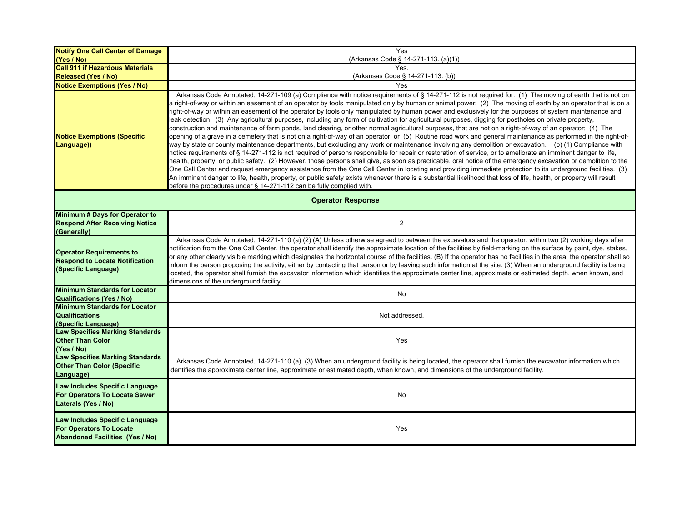| <b>Notify One Call Center of Damage</b>                                                                    | Yes                                                                                                                                                                                                                                                                                                                                                                                                                                                                                                                                                                                                                                                                                                                                                                                                                                                                                                                                                                                                                                                                                                                                                                                                                                                                                                                                                                                                                                                                                                                                                                                                                                                                                                                                                                                                                                                                                |  |
|------------------------------------------------------------------------------------------------------------|------------------------------------------------------------------------------------------------------------------------------------------------------------------------------------------------------------------------------------------------------------------------------------------------------------------------------------------------------------------------------------------------------------------------------------------------------------------------------------------------------------------------------------------------------------------------------------------------------------------------------------------------------------------------------------------------------------------------------------------------------------------------------------------------------------------------------------------------------------------------------------------------------------------------------------------------------------------------------------------------------------------------------------------------------------------------------------------------------------------------------------------------------------------------------------------------------------------------------------------------------------------------------------------------------------------------------------------------------------------------------------------------------------------------------------------------------------------------------------------------------------------------------------------------------------------------------------------------------------------------------------------------------------------------------------------------------------------------------------------------------------------------------------------------------------------------------------------------------------------------------------|--|
| (Yes / No)                                                                                                 | (Arkansas Code § 14-271-113. (a)(1))                                                                                                                                                                                                                                                                                                                                                                                                                                                                                                                                                                                                                                                                                                                                                                                                                                                                                                                                                                                                                                                                                                                                                                                                                                                                                                                                                                                                                                                                                                                                                                                                                                                                                                                                                                                                                                               |  |
| <b>Call 911 if Hazardous Materials</b>                                                                     | Yes.                                                                                                                                                                                                                                                                                                                                                                                                                                                                                                                                                                                                                                                                                                                                                                                                                                                                                                                                                                                                                                                                                                                                                                                                                                                                                                                                                                                                                                                                                                                                                                                                                                                                                                                                                                                                                                                                               |  |
| Released (Yes / No)                                                                                        | (Arkansas Code § 14-271-113. (b))                                                                                                                                                                                                                                                                                                                                                                                                                                                                                                                                                                                                                                                                                                                                                                                                                                                                                                                                                                                                                                                                                                                                                                                                                                                                                                                                                                                                                                                                                                                                                                                                                                                                                                                                                                                                                                                  |  |
| <b>Notice Exemptions (Yes / No)</b>                                                                        | Yes                                                                                                                                                                                                                                                                                                                                                                                                                                                                                                                                                                                                                                                                                                                                                                                                                                                                                                                                                                                                                                                                                                                                                                                                                                                                                                                                                                                                                                                                                                                                                                                                                                                                                                                                                                                                                                                                                |  |
| <b>Notice Exemptions (Specific</b><br>Language))                                                           | Arkansas Code Annotated, 14-271-109 (a) Compliance with notice requirements of § 14-271-112 is not required for: (1) The moving of earth that is not on<br>a right-of-way or within an easement of an operator by tools manipulated only by human or animal power; (2) The moving of earth by an operator that is on a<br>right-of-way or within an easement of the operator by tools only manipulated by human power and exclusively for the purposes of system maintenance and<br>leak detection; (3) Any agricultural purposes, including any form of cultivation for agricultural purposes, digging for postholes on private property,<br>construction and maintenance of farm ponds, land clearing, or other normal agricultural purposes, that are not on a right-of-way of an operator; (4) The<br>opening of a grave in a cemetery that is not on a right-of-way of an operator; or (5) Routine road work and general maintenance as performed in the right-of-<br>way by state or county maintenance departments, but excluding any work or maintenance involving any demolition or excavation. (b) (1) Compliance with<br>notice requirements of § 14-271-112 is not required of persons responsible for repair or restoration of service, or to ameliorate an imminent danger to life,<br>health, property, or public safety. (2) However, those persons shall give, as soon as practicable, oral notice of the emergency excavation or demolition to the<br>One Call Center and request emergency assistance from the One Call Center in locating and providing immediate protection to its underground facilities. (3)<br>An imminent danger to life, health, property, or public safety exists whenever there is a substantial likelihood that loss of life, health, or property will result<br>before the procedures under § 14-271-112 can be fully complied with. |  |
| <b>Operator Response</b>                                                                                   |                                                                                                                                                                                                                                                                                                                                                                                                                                                                                                                                                                                                                                                                                                                                                                                                                                                                                                                                                                                                                                                                                                                                                                                                                                                                                                                                                                                                                                                                                                                                                                                                                                                                                                                                                                                                                                                                                    |  |
| Minimum # Days for Operator to                                                                             |                                                                                                                                                                                                                                                                                                                                                                                                                                                                                                                                                                                                                                                                                                                                                                                                                                                                                                                                                                                                                                                                                                                                                                                                                                                                                                                                                                                                                                                                                                                                                                                                                                                                                                                                                                                                                                                                                    |  |
| <b>Respond After Receiving Notice</b>                                                                      | 2                                                                                                                                                                                                                                                                                                                                                                                                                                                                                                                                                                                                                                                                                                                                                                                                                                                                                                                                                                                                                                                                                                                                                                                                                                                                                                                                                                                                                                                                                                                                                                                                                                                                                                                                                                                                                                                                                  |  |
| (Generally)                                                                                                |                                                                                                                                                                                                                                                                                                                                                                                                                                                                                                                                                                                                                                                                                                                                                                                                                                                                                                                                                                                                                                                                                                                                                                                                                                                                                                                                                                                                                                                                                                                                                                                                                                                                                                                                                                                                                                                                                    |  |
| <b>Operator Requirements to</b><br><b>Respond to Locate Notification</b><br>(Specific Language)            | Arkansas Code Annotated, 14-271-110 (a) (2) (A) Unless otherwise agreed to between the excavators and the operator, within two (2) working days after<br>notification from the One Call Center, the operator shall identify the approximate location of the facilities by field-marking on the surface by paint, dye, stakes,<br>or any other clearly visible marking which designates the horizontal course of the facilities. (B) If the operator has no facilities in the area, the operator shall so<br>inform the person proposing the activity, either by contacting that person or by leaving such information at the site. (3) When an underground facility is being<br>located, the operator shall furnish the excavator information which identifies the approximate center line, approximate or estimated depth, when known, and<br>dimensions of the underground facility.                                                                                                                                                                                                                                                                                                                                                                                                                                                                                                                                                                                                                                                                                                                                                                                                                                                                                                                                                                                             |  |
| <b>Minimum Standards for Locator</b><br><b>Qualifications (Yes / No)</b>                                   | No                                                                                                                                                                                                                                                                                                                                                                                                                                                                                                                                                                                                                                                                                                                                                                                                                                                                                                                                                                                                                                                                                                                                                                                                                                                                                                                                                                                                                                                                                                                                                                                                                                                                                                                                                                                                                                                                                 |  |
| <b>Minimum Standards for Locator</b><br><b>Qualifications</b><br>(Specific Language)                       | Not addressed.                                                                                                                                                                                                                                                                                                                                                                                                                                                                                                                                                                                                                                                                                                                                                                                                                                                                                                                                                                                                                                                                                                                                                                                                                                                                                                                                                                                                                                                                                                                                                                                                                                                                                                                                                                                                                                                                     |  |
| <b>Law Specifies Marking Standards</b><br><b>Other Than Color</b><br>(Yes / No)                            | Yes                                                                                                                                                                                                                                                                                                                                                                                                                                                                                                                                                                                                                                                                                                                                                                                                                                                                                                                                                                                                                                                                                                                                                                                                                                                                                                                                                                                                                                                                                                                                                                                                                                                                                                                                                                                                                                                                                |  |
| <b>Law Specifies Marking Standards</b><br><b>Other Than Color (Specific</b><br>Language)                   | Arkansas Code Annotated, 14-271-110 (a) (3) When an underground facility is being located, the operator shall furnish the excavator information which<br>identifies the approximate center line, approximate or estimated depth, when known, and dimensions of the underground facility.                                                                                                                                                                                                                                                                                                                                                                                                                                                                                                                                                                                                                                                                                                                                                                                                                                                                                                                                                                                                                                                                                                                                                                                                                                                                                                                                                                                                                                                                                                                                                                                           |  |
| Law Includes Specific Language<br>For Operators To Locate Sewer<br>Laterals (Yes / No)                     | No                                                                                                                                                                                                                                                                                                                                                                                                                                                                                                                                                                                                                                                                                                                                                                                                                                                                                                                                                                                                                                                                                                                                                                                                                                                                                                                                                                                                                                                                                                                                                                                                                                                                                                                                                                                                                                                                                 |  |
| Law Includes Specific Language<br><b>For Operators To Locate</b><br><b>Abandoned Facilities (Yes / No)</b> | Yes                                                                                                                                                                                                                                                                                                                                                                                                                                                                                                                                                                                                                                                                                                                                                                                                                                                                                                                                                                                                                                                                                                                                                                                                                                                                                                                                                                                                                                                                                                                                                                                                                                                                                                                                                                                                                                                                                |  |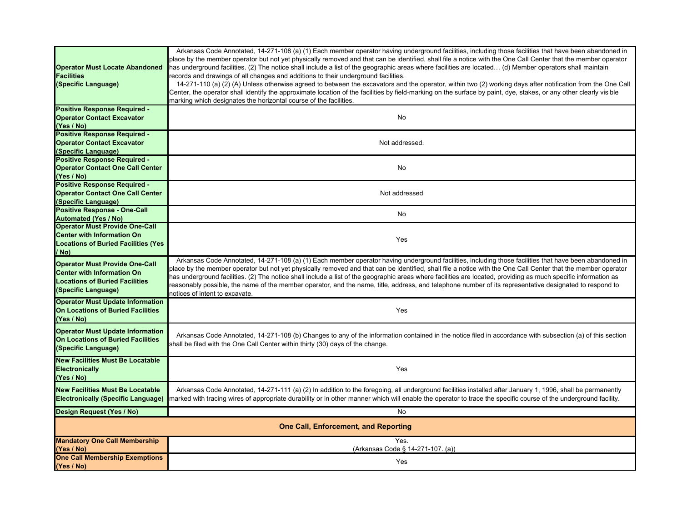| <b>Operator Must Locate Abandoned</b><br><b>Facilities</b><br>(Specific Language)                                                          | Arkansas Code Annotated, 14-271-108 (a) (1) Each member operator having underground facilities, including those facilities that have been abandoned in<br>place by the member operator but not yet physically removed and that can be identified, shall file a notice with the One Call Center that the member operator<br>has underground facilities. (2) The notice shall include a list of the geographic areas where facilities are located (d) Member operators shall maintain<br>records and drawings of all changes and additions to their underground facilities.<br>14-271-110 (a) (2) (A) Unless otherwise agreed to between the excavators and the operator, within two (2) working days after notification from the One Call<br>Center, the operator shall identify the approximate location of the facilities by field-marking on the surface by paint, dye, stakes, or any other clearly vis ble<br>marking which designates the horizontal course of the facilities. |  |
|--------------------------------------------------------------------------------------------------------------------------------------------|-------------------------------------------------------------------------------------------------------------------------------------------------------------------------------------------------------------------------------------------------------------------------------------------------------------------------------------------------------------------------------------------------------------------------------------------------------------------------------------------------------------------------------------------------------------------------------------------------------------------------------------------------------------------------------------------------------------------------------------------------------------------------------------------------------------------------------------------------------------------------------------------------------------------------------------------------------------------------------------|--|
| Positive Response Required -<br><b>Operator Contact Excavator</b><br>(Yes / No)                                                            | <b>No</b>                                                                                                                                                                                                                                                                                                                                                                                                                                                                                                                                                                                                                                                                                                                                                                                                                                                                                                                                                                           |  |
| <b>Positive Response Required -</b><br><b>Operator Contact Excavator</b><br>(Specific Language)                                            | Not addressed.                                                                                                                                                                                                                                                                                                                                                                                                                                                                                                                                                                                                                                                                                                                                                                                                                                                                                                                                                                      |  |
| <b>Positive Response Required -</b><br><b>Operator Contact One Call Center</b><br>(Yes / No)                                               | No                                                                                                                                                                                                                                                                                                                                                                                                                                                                                                                                                                                                                                                                                                                                                                                                                                                                                                                                                                                  |  |
| <b>Positive Response Required -</b><br><b>Operator Contact One Call Center</b><br>(Specific Language)                                      | Not addressed                                                                                                                                                                                                                                                                                                                                                                                                                                                                                                                                                                                                                                                                                                                                                                                                                                                                                                                                                                       |  |
| <b>Positive Response - One-Call</b><br><b>Automated (Yes / No)</b>                                                                         | <b>No</b>                                                                                                                                                                                                                                                                                                                                                                                                                                                                                                                                                                                                                                                                                                                                                                                                                                                                                                                                                                           |  |
| <b>Operator Must Provide One-Call</b><br><b>Center with Information On</b><br><b>Locations of Buried Facilities (Yes</b><br>/ No)          | Yes                                                                                                                                                                                                                                                                                                                                                                                                                                                                                                                                                                                                                                                                                                                                                                                                                                                                                                                                                                                 |  |
| <b>Operator Must Provide One-Call</b><br><b>Center with Information On</b><br><b>Locations of Buried Facilities</b><br>(Specific Language) | Arkansas Code Annotated, 14-271-108 (a) (1) Each member operator having underground facilities, including those facilities that have been abandoned in<br>place by the member operator but not yet physically removed and that can be identified, shall file a notice with the One Call Center that the member operator<br>has underground facilities. (2) The notice shall include a list of the geographic areas where facilities are located, providing as much specific information as<br>reasonably possible, the name of the member operator, and the name, title, address, and telephone number of its representative designated to respond to<br>notices of intent to excavate.                                                                                                                                                                                                                                                                                             |  |
| <b>Operator Must Update Information</b><br><b>On Locations of Buried Facilities</b><br>(Yes / No)                                          | Yes                                                                                                                                                                                                                                                                                                                                                                                                                                                                                                                                                                                                                                                                                                                                                                                                                                                                                                                                                                                 |  |
| <b>Operator Must Update Information</b><br><b>On Locations of Buried Facilities</b><br>(Specific Language)                                 | Arkansas Code Annotated, 14-271-108 (b) Changes to any of the information contained in the notice filed in accordance with subsection (a) of this section<br>shall be filed with the One Call Center within thirty (30) days of the change.                                                                                                                                                                                                                                                                                                                                                                                                                                                                                                                                                                                                                                                                                                                                         |  |
| <b>New Facilities Must Be Locatable</b><br>Electronically<br>(Yes / No)                                                                    | Yes                                                                                                                                                                                                                                                                                                                                                                                                                                                                                                                                                                                                                                                                                                                                                                                                                                                                                                                                                                                 |  |
| <b>New Facilities Must Be Locatable</b><br><b>Electronically (Specific Language)</b>                                                       | Arkansas Code Annotated, 14-271-111 (a) (2) In addition to the foregoing, all underground facilities installed after January 1, 1996, shall be permanently<br>marked with tracing wires of appropriate durability or in other manner which will enable the operator to trace the specific course of the underground facility.                                                                                                                                                                                                                                                                                                                                                                                                                                                                                                                                                                                                                                                       |  |
| Design Request (Yes / No)                                                                                                                  | No                                                                                                                                                                                                                                                                                                                                                                                                                                                                                                                                                                                                                                                                                                                                                                                                                                                                                                                                                                                  |  |
| <b>One Call, Enforcement, and Reporting</b>                                                                                                |                                                                                                                                                                                                                                                                                                                                                                                                                                                                                                                                                                                                                                                                                                                                                                                                                                                                                                                                                                                     |  |
| <b>Mandatory One Call Membership</b><br>(Yes / No)                                                                                         | Yes.<br>(Arkansas Code § 14-271-107. (a))                                                                                                                                                                                                                                                                                                                                                                                                                                                                                                                                                                                                                                                                                                                                                                                                                                                                                                                                           |  |
| <b>One Call Membership Exemptions</b><br>(Yes / No)                                                                                        | Yes                                                                                                                                                                                                                                                                                                                                                                                                                                                                                                                                                                                                                                                                                                                                                                                                                                                                                                                                                                                 |  |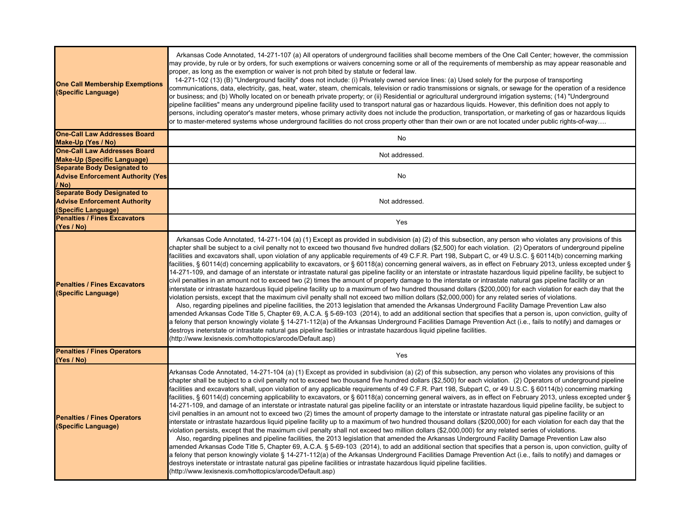| <b>One Call Membership Exemptions</b><br>(Specific Language)                                     | Arkansas Code Annotated, 14-271-107 (a) All operators of underground facilities shall become members of the One Call Center; however, the commission<br>may provide, by rule or by orders, for such exemptions or waivers concerning some or all of the requirements of membership as may appear reasonable and<br>proper, as long as the exemption or waiver is not proh bited by statute or federal law.<br>14-271-102 (13) (B) "Underground facility" does not include: (i) Privately owned service lines: (a) Used solely for the purpose of transporting<br>communications, data, electricity, gas, heat, water, steam, chemicals, television or radio transmissions or signals, or sewage for the operation of a residence<br>or business; and (b) Wholly located on or beneath private property; or (ii) Residential or agricultural underground irrigation systems; (14) "Underground<br>pipeline facilities" means any underground pipeline facility used to transport natural gas or hazardous liquids. However, this definition does not apply to<br>persons, including operator's master meters, whose primary activity does not include the production, transportation, or marketing of gas or hazardous liquids<br>or to master-metered systems whose underground facilities do not cross property other than their own or are not located under public rights-of-way                                                                                                                                                                                                                                                                                                                                                                                                                                                                                                                                                                                                                     |
|--------------------------------------------------------------------------------------------------|---------------------------------------------------------------------------------------------------------------------------------------------------------------------------------------------------------------------------------------------------------------------------------------------------------------------------------------------------------------------------------------------------------------------------------------------------------------------------------------------------------------------------------------------------------------------------------------------------------------------------------------------------------------------------------------------------------------------------------------------------------------------------------------------------------------------------------------------------------------------------------------------------------------------------------------------------------------------------------------------------------------------------------------------------------------------------------------------------------------------------------------------------------------------------------------------------------------------------------------------------------------------------------------------------------------------------------------------------------------------------------------------------------------------------------------------------------------------------------------------------------------------------------------------------------------------------------------------------------------------------------------------------------------------------------------------------------------------------------------------------------------------------------------------------------------------------------------------------------------------------------------------------------------------------------------------------------------------------------------------------------|
| <b>One-Call Law Addresses Board</b>                                                              | No                                                                                                                                                                                                                                                                                                                                                                                                                                                                                                                                                                                                                                                                                                                                                                                                                                                                                                                                                                                                                                                                                                                                                                                                                                                                                                                                                                                                                                                                                                                                                                                                                                                                                                                                                                                                                                                                                                                                                                                                      |
| Make-Up (Yes / No)<br><b>One-Call Law Addresses Board</b>                                        |                                                                                                                                                                                                                                                                                                                                                                                                                                                                                                                                                                                                                                                                                                                                                                                                                                                                                                                                                                                                                                                                                                                                                                                                                                                                                                                                                                                                                                                                                                                                                                                                                                                                                                                                                                                                                                                                                                                                                                                                         |
| <b>Make-Up (Specific Language)</b>                                                               | Not addressed.                                                                                                                                                                                                                                                                                                                                                                                                                                                                                                                                                                                                                                                                                                                                                                                                                                                                                                                                                                                                                                                                                                                                                                                                                                                                                                                                                                                                                                                                                                                                                                                                                                                                                                                                                                                                                                                                                                                                                                                          |
| <b>Separate Body Designated to</b><br><b>Advise Enforcement Authority (Yes</b><br>/ No)          | No                                                                                                                                                                                                                                                                                                                                                                                                                                                                                                                                                                                                                                                                                                                                                                                                                                                                                                                                                                                                                                                                                                                                                                                                                                                                                                                                                                                                                                                                                                                                                                                                                                                                                                                                                                                                                                                                                                                                                                                                      |
| <b>Separate Body Designated to</b><br><b>Advise Enforcement Authority</b><br>(Specific Language) | Not addressed.                                                                                                                                                                                                                                                                                                                                                                                                                                                                                                                                                                                                                                                                                                                                                                                                                                                                                                                                                                                                                                                                                                                                                                                                                                                                                                                                                                                                                                                                                                                                                                                                                                                                                                                                                                                                                                                                                                                                                                                          |
| <b>Penalties / Fines Excavators</b><br>(Yes / No)                                                | Yes                                                                                                                                                                                                                                                                                                                                                                                                                                                                                                                                                                                                                                                                                                                                                                                                                                                                                                                                                                                                                                                                                                                                                                                                                                                                                                                                                                                                                                                                                                                                                                                                                                                                                                                                                                                                                                                                                                                                                                                                     |
| <b>Penalties / Fines Excavators</b><br>(Specific Language)                                       | Arkansas Code Annotated, 14-271-104 (a) (1) Except as provided in subdivision (a) (2) of this subsection, any person who violates any provisions of this<br>chapter shall be subject to a civil penalty not to exceed two thousand five hundred dollars (\$2,500) for each violation. (2) Operators of underground pipeline<br>facilities and excavators shall, upon violation of any applicable requirements of 49 C.F.R. Part 198, Subpart C, or 49 U.S.C. § 60114(b) concerning marking<br>facilities, § 60114(d) concerning applicability to excavators, or § 60118(a) concerning general waivers, as in effect on February 2013, unless excepted under §<br>14-271-109, and damage of an interstate or intrastate natural gas pipeline facility or an interstate or intrastate hazardous liquid pipeline facility, be subject to<br>civil penalties in an amount not to exceed two (2) times the amount of property damage to the interstate or intrastate natural gas pipeline facility or an<br>interstate or intrastate hazardous liquid pipeline facility up to a maximum of two hundred thousand dollars (\$200,000) for each violation for each day that the<br>violation persists, except that the maximum civil penalty shall not exceed two million dollars (\$2,000,000) for any related series of violations.<br>Also, regarding pipelines and pipeline facilities, the 2013 legislation that amended the Arkansas Underground Facility Damage Prevention Law also<br>amended Arkansas Code Title 5, Chapter 69, A.C.A. § 5-69-103 (2014), to add an additional section that specifies that a person is, upon conviction, guilty of<br>a felony that person knowingly violate § 14-271-112(a) of the Arkansas Underground Facilities Damage Prevention Act (i.e., fails to notify) and damages or<br>destroys ineterstate or intrastate natural gas pipeline facilities or intrastate hazardous liquid pipeline facilities.<br>(http://www.lexisnexis.com/hottopics/arcode/Default.asp) |
| <b>Penalties / Fines Operators</b><br>(Yes / No)                                                 | Yes                                                                                                                                                                                                                                                                                                                                                                                                                                                                                                                                                                                                                                                                                                                                                                                                                                                                                                                                                                                                                                                                                                                                                                                                                                                                                                                                                                                                                                                                                                                                                                                                                                                                                                                                                                                                                                                                                                                                                                                                     |
| <b>Penalties / Fines Operators</b><br>(Specific Language)                                        | Arkansas Code Annotated, 14-271-104 (a) (1) Except as provided in subdivision (a) (2) of this subsection, any person who violates any provisions of this<br>chapter shall be subject to a civil penalty not to exceed two thousand five hundred dollars (\$2,500) for each violation. (2) Operators of underground pipeline<br>facilities and excavators shall, upon violation of any applicable requirements of 49 C.F.R. Part 198, Subpart C, or 49 U.S.C. § 60114(b) concerning marking<br>facilities, § 60114(d) concerning applicability to excavators, or § 60118(a) concerning general waivers, as in effect on February 2013, unless excepted under §<br>14-271-109, and damage of an interstate or intrastate natural gas pipeline facility or an interstate or intrastate hazardous liquid pipeline facility, be subject to<br>civil penalties in an amount not to exceed two (2) times the amount of property damage to the interstate or intrastate natural gas pipeline facility or an<br>interstate or intrastate hazardous liquid pipeline facility up to a maximum of two hundred thousand dollars (\$200,000) for each violation for each day that the<br>violation persists, except that the maximum civil penalty shall not exceed two million dollars (\$2,000,000) for any related series of violations.<br>Also, regarding pipelines and pipeline facilities, the 2013 legislation that amended the Arkansas Underground Facility Damage Prevention Law also<br>amended Arkansas Code Title 5, Chapter 69, A.C.A. § 5-69-103 (2014), to add an additional section that specifies that a person is, upon conviction, guilty of<br>a felony that person knowingly violate § 14-271-112(a) of the Arkansas Underground Facilities Damage Prevention Act (i.e., fails to notify) and damages or<br>destroys ineterstate or intrastate natural gas pipeline facilities or intrastate hazardous liquid pipeline facilities.<br>(http://www.lexisnexis.com/hottopics/arcode/Default.asp) |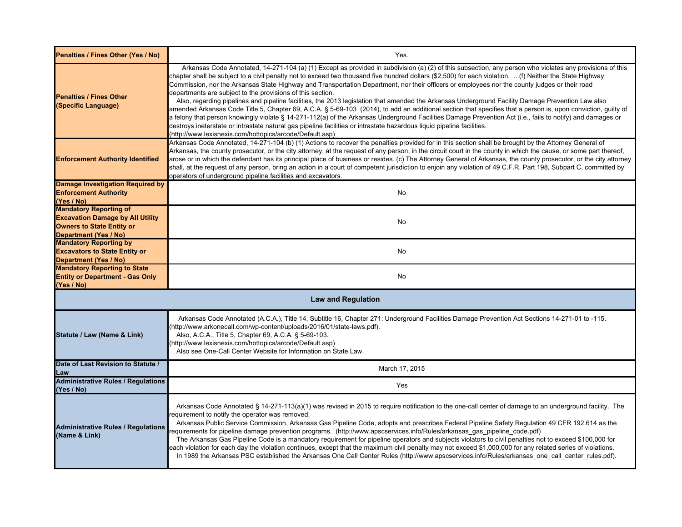| Penalties / Fines Other (Yes / No)                                                                                                           | Yes.                                                                                                                                                                                                                                                                                                                                                                                                                                                                                                                                                                                                                                                                                                                                                                                                                                                                                                                                                                                                                                                                                                                                                                                                         |
|----------------------------------------------------------------------------------------------------------------------------------------------|--------------------------------------------------------------------------------------------------------------------------------------------------------------------------------------------------------------------------------------------------------------------------------------------------------------------------------------------------------------------------------------------------------------------------------------------------------------------------------------------------------------------------------------------------------------------------------------------------------------------------------------------------------------------------------------------------------------------------------------------------------------------------------------------------------------------------------------------------------------------------------------------------------------------------------------------------------------------------------------------------------------------------------------------------------------------------------------------------------------------------------------------------------------------------------------------------------------|
| <b>Penalties / Fines Other</b><br>(Specific Language)                                                                                        | Arkansas Code Annotated, 14-271-104 (a) (1) Except as provided in subdivision (a) (2) of this subsection, any person who violates any provisions of this<br>chapter shall be subject to a civil penalty not to exceed two thousand five hundred dollars (\$2,500) for each violation. (f) Neither the State Highway<br>Commission, nor the Arkansas State Highway and Transportation Department, nor their officers or employees nor the county judges or their road<br>departments are subject to the provisions of this section.<br>Also, regarding pipelines and pipeline facilities, the 2013 legislation that amended the Arkansas Underground Facility Damage Prevention Law also<br>amended Arkansas Code Title 5, Chapter 69, A.C.A. § 5-69-103 (2014), to add an additional section that specifies that a person is, upon conviction, guilty of<br>a felony that person knowingly violate § 14-271-112(a) of the Arkansas Underground Facilities Damage Prevention Act (i.e., fails to notify) and damages or<br>destroys ineterstate or intrastate natural gas pipeline facilities or intrastate hazardous liquid pipeline facilities.<br>(http://www.lexisnexis.com/hottopics/arcode/Default.asp) |
| <b>Enforcement Authority Identified</b>                                                                                                      | Arkansas Code Annotated, 14-271-104 (b) (1) Actions to recover the penalties provided for in this section shall be brought by the Attorney General of<br>Arkansas, the county prosecutor, or the city attorney, at the request of any person, in the circuit court in the county in which the cause, or some part thereof,<br>arose or in which the defendant has its principal place of business or resides. (c) The Attorney General of Arkansas, the county prosecutor, or the city attorney<br>shall, at the request of any person, bring an action in a court of competent jurisdiction to enjoin any violation of 49 C.F.R. Part 198, Subpart C, committed by<br>operators of underground pipeline facilities and excavators.                                                                                                                                                                                                                                                                                                                                                                                                                                                                          |
| <b>Damage Investigation Required by</b><br><b>Enforcement Authority</b><br>(Yes / No)                                                        | <b>No</b>                                                                                                                                                                                                                                                                                                                                                                                                                                                                                                                                                                                                                                                                                                                                                                                                                                                                                                                                                                                                                                                                                                                                                                                                    |
| <b>Mandatory Reporting of</b><br><b>Excavation Damage by All Utility</b><br><b>Owners to State Entity or</b><br><b>Department (Yes / No)</b> | No                                                                                                                                                                                                                                                                                                                                                                                                                                                                                                                                                                                                                                                                                                                                                                                                                                                                                                                                                                                                                                                                                                                                                                                                           |
| <b>Mandatory Reporting by</b><br><b>Excavators to State Entity or</b><br><b>Department (Yes / No)</b>                                        | No                                                                                                                                                                                                                                                                                                                                                                                                                                                                                                                                                                                                                                                                                                                                                                                                                                                                                                                                                                                                                                                                                                                                                                                                           |
| <b>Mandatory Reporting to State</b><br><b>Entity or Department - Gas Only</b><br>(Yes / No)                                                  | No                                                                                                                                                                                                                                                                                                                                                                                                                                                                                                                                                                                                                                                                                                                                                                                                                                                                                                                                                                                                                                                                                                                                                                                                           |
|                                                                                                                                              | <b>Law and Regulation</b>                                                                                                                                                                                                                                                                                                                                                                                                                                                                                                                                                                                                                                                                                                                                                                                                                                                                                                                                                                                                                                                                                                                                                                                    |
| Statute / Law (Name & Link)                                                                                                                  | Arkansas Code Annotated (A.C.A.), Title 14, Subtitle 16, Chapter 271: Underground Facilities Damage Prevention Act Sections 14-271-01 to -115.<br>(http://www.arkonecall.com/wp-content/uploads/2016/01/state-laws.pdf).<br>Also, A.C.A., Title 5, Chapter 69, A.C.A. § 5-69-103.<br>(http://www.lexisnexis.com/hottopics/arcode/Default.asp)<br>Also see One-Call Center Website for Information on State Law.                                                                                                                                                                                                                                                                                                                                                                                                                                                                                                                                                                                                                                                                                                                                                                                              |
| Date of Last Revision to Statute /<br>Law                                                                                                    | March 17, 2015                                                                                                                                                                                                                                                                                                                                                                                                                                                                                                                                                                                                                                                                                                                                                                                                                                                                                                                                                                                                                                                                                                                                                                                               |
| <b>Administrative Rules / Regulations</b><br>(Yes / No)                                                                                      | Yes                                                                                                                                                                                                                                                                                                                                                                                                                                                                                                                                                                                                                                                                                                                                                                                                                                                                                                                                                                                                                                                                                                                                                                                                          |
| <b>Administrative Rules / Regulations</b><br>(Name & Link)                                                                                   | Arkansas Code Annotated § 14-271-113(a)(1) was revised in 2015 to require notification to the one-call center of damage to an underground facility. The<br>requirement to notify the operator was removed.<br>Arkansas Public Service Commission, Arkansas Gas Pipeline Code, adopts and prescribes Federal Pipeline Safety Regulation 49 CFR 192.614 as the<br>requirements for pipeline damage prevention programs. (http://www.apscservices.info/Rules/arkansas gas pipeline code.pdf)<br>The Arkansas Gas Pipeline Code is a mandatory requirement for pipeline operators and subjects violators to civil penalties not to exceed \$100,000 for<br>each violation for each day the violation continues, except that the maximum civil penalty may not exceed \$1,000,000 for any related series of violations.<br>In 1989 the Arkansas PSC established the Arkansas One Call Center Rules (http://www.apscservices.info/Rules/arkansas one call center rules.pdf).                                                                                                                                                                                                                                       |